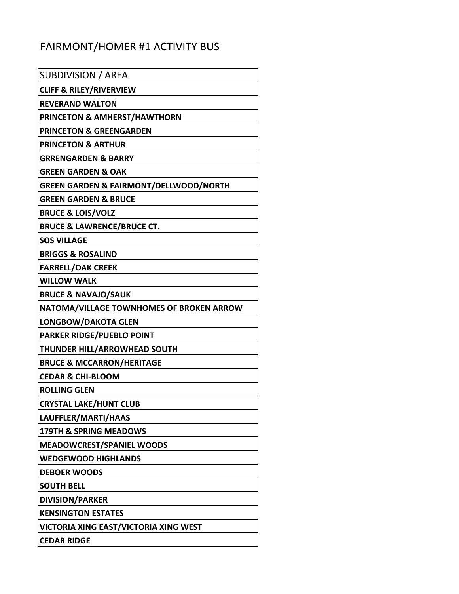## FAIRMONT/HOMER #1 ACTIVITY BUS

| SUBDIVISION / AREA                                |
|---------------------------------------------------|
| <b>CLIFF &amp; RILEY/RIVERVIEW</b>                |
| <b>REVERAND WALTON</b>                            |
| <b>PRINCETON &amp; AMHERST/HAWTHORN</b>           |
| <b>PRINCETON &amp; GREENGARDEN</b>                |
| <b>PRINCETON &amp; ARTHUR</b>                     |
| <b>GRRENGARDEN &amp; BARRY</b>                    |
| <b>GREEN GARDEN &amp; OAK</b>                     |
| <b>GREEN GARDEN &amp; FAIRMONT/DELLWOOD/NORTH</b> |
| <b>GREEN GARDEN &amp; BRUCE</b>                   |
| <b>BRUCE &amp; LOIS/VOLZ</b>                      |
| <b>BRUCE &amp; LAWRENCE/BRUCE CT.</b>             |
| <b>SOS VILLAGE</b>                                |
| <b>BRIGGS &amp; ROSALIND</b>                      |
| <b>FARRELL/OAK CREEK</b>                          |
| <b>WILLOW WALK</b>                                |
| <b>BRUCE &amp; NAVAJO/SAUK</b>                    |
| NATOMA/VILLAGE TOWNHOMES OF BROKEN ARROW          |
| LONGBOW/DAKOTA GLEN                               |
| <b>PARKER RIDGE/PUEBLO POINT</b>                  |
| THUNDER HILL/ARROWHEAD SOUTH                      |
| <b>BRUCE &amp; MCCARRON/HERITAGE</b>              |
| <b>CEDAR &amp; CHI-BLOOM</b>                      |
| <b>ROLLING GLEN</b>                               |
| <b>CRYSTAL LAKE/HUNT CLUB</b>                     |
| LAUFFLER/MARTI/HAAS                               |
| <b>179TH &amp; SPRING MEADOWS</b>                 |
| <b>MEADOWCREST/SPANIEL WOODS</b>                  |
| <b>WEDGEWOOD HIGHLANDS</b>                        |
| <b>DEBOER WOODS</b>                               |
| <b>SOUTH BELL</b>                                 |
| <b>DIVISION/PARKER</b>                            |
| <b>KENSINGTON ESTATES</b>                         |
| <b>VICTORIA XING EAST/VICTORIA XING WEST</b>      |
| <b>CEDAR RIDGE</b>                                |
|                                                   |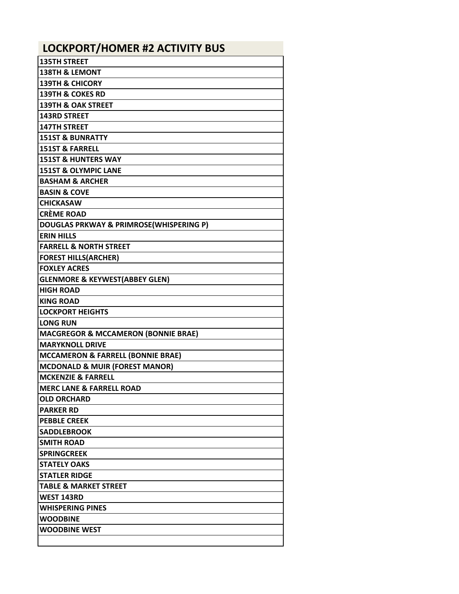| <b>LOCKPORT/HOMER #2 ACTIVITY BUS</b>          |
|------------------------------------------------|
| <b>135TH STREET</b>                            |
| <b>138TH &amp; LEMONT</b>                      |
| <b>139TH &amp; CHICORY</b>                     |
| <b>139TH &amp; COKES RD</b>                    |
| <b>139TH &amp; OAK STREET</b>                  |
| <b>143RD STREET</b>                            |
| <b>147TH STREET</b>                            |
| <b>151ST &amp; BUNRATTY</b>                    |
| <b>151ST &amp; FARRELL</b>                     |
| <b>151ST &amp; HUNTERS WAY</b>                 |
| <b>151ST &amp; OLYMPIC LANE</b>                |
| <b>BASHAM &amp; ARCHER</b>                     |
| <b>BASIN &amp; COVE</b>                        |
| <b>CHICKASAW</b>                               |
| <b>CRÈME ROAD</b>                              |
| DOUGLAS PRKWAY & PRIMROSE(WHISPERING P)        |
| <b>ERIN HILLS</b>                              |
| <b>FARRELL &amp; NORTH STREET</b>              |
| <b>FOREST HILLS(ARCHER)</b>                    |
| <b>FOXLEY ACRES</b>                            |
| <b>GLENMORE &amp; KEYWEST(ABBEY GLEN)</b>      |
| <b>HIGH ROAD</b>                               |
| <b>KING ROAD</b>                               |
| <b>LOCKPORT HEIGHTS</b>                        |
| <b>LONG RUN</b>                                |
| <b>MACGREGOR &amp; MCCAMERON (BONNIE BRAE)</b> |
| <b>MARYKNOLL DRIVE</b>                         |
| <b>MCCAMERON &amp; FARRELL (BONNIE BRAE)</b>   |
| <b>MCDONALD &amp; MUIR (FOREST MANOR)</b>      |
| IMCKENZIE & FARRELL                            |
| <b>MERC LANE &amp; FARRELL ROAD</b>            |
| <b>OLD ORCHARD</b>                             |
| <b>PARKER RD</b>                               |
| <b>PEBBLE CREEK</b>                            |
| <b>SADDLEBROOK</b>                             |
| <b>SMITH ROAD</b>                              |
| <b>SPRINGCREEK</b>                             |
| <b>STATELY OAKS</b>                            |
| <b>STATLER RIDGE</b>                           |
| <b>TABLE &amp; MARKET STREET</b>               |
| <b>WEST 143RD</b>                              |
| <b>WHISPERING PINES</b>                        |
| <b>WOODBINE</b>                                |
| <b>WOODBINE WEST</b>                           |
|                                                |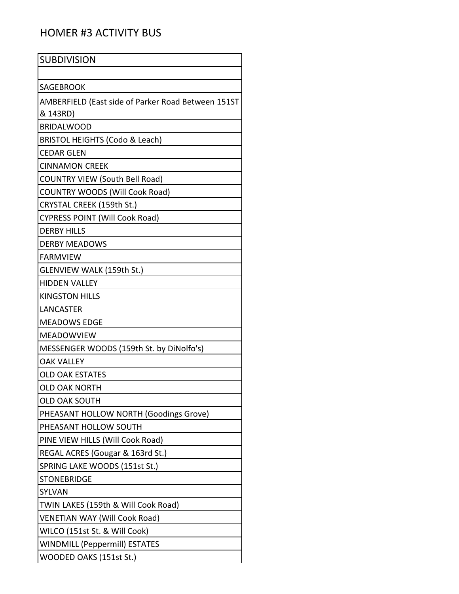## HOMER #3 ACTIVITY BUS

| <b>SUBDIVISION</b>                                 |
|----------------------------------------------------|
|                                                    |
| <b>SAGEBROOK</b>                                   |
| AMBERFIELD (East side of Parker Road Between 151ST |
| & 143RD)                                           |
| <b>BRIDALWOOD</b>                                  |
| BRISTOL HEIGHTS (Codo & Leach)                     |
| <b>CEDAR GLEN</b>                                  |
| <b>CINNAMON CREEK</b>                              |
| <b>COUNTRY VIEW (South Bell Road)</b>              |
| <b>COUNTRY WOODS (Will Cook Road)</b>              |
| CRYSTAL CREEK (159th St.)                          |
| <b>CYPRESS POINT (Will Cook Road)</b>              |
| <b>DERBY HILLS</b>                                 |
| <b>DERBY MEADOWS</b>                               |
| <b>FARMVIEW</b>                                    |
| <b>GLENVIEW WALK (159th St.)</b>                   |
| <b>HIDDEN VALLEY</b>                               |
| <b>KINGSTON HILLS</b>                              |
| <b>LANCASTER</b>                                   |
| <b>MEADOWS EDGE</b>                                |
| <b>MEADOWVIEW</b>                                  |
| MESSENGER WOODS (159th St. by DiNolfo's)           |
| <b>OAK VALLEY</b>                                  |
| <b>OLD OAK ESTATES</b>                             |
| OLD OAK NORTH                                      |
| <b>OLD OAK SOUTH</b>                               |
| PHEASANT HOLLOW NORTH (Goodings Grove)             |
| PHEASANT HOLLOW SOUTH                              |
| PINE VIEW HILLS (Will Cook Road)                   |
| REGAL ACRES (Gougar & 163rd St.)                   |
| SPRING LAKE WOODS (151st St.)                      |
| <b>STONEBRIDGE</b>                                 |
| SYLVAN                                             |
| TWIN LAKES (159th & Will Cook Road)                |
| <b>VENETIAN WAY (Will Cook Road)</b>               |
| WILCO (151st St. & Will Cook)                      |
| <b>WINDMILL (Peppermill) ESTATES</b>               |
| WOODED OAKS (151st St.)                            |
|                                                    |